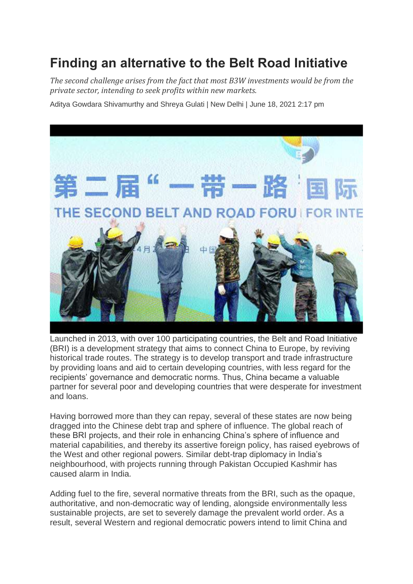## **Finding an alternative to the Belt Road Initiative**

*The second challenge arises from the fact that most B3W investments would be from the private sector, intending to seek profits within new markets.*

Aditya Gowdara Shivamurthy and Shreya Gulati | New Delhi | June 18, 2021 2:17 pm



Launched in 2013, with over 100 participating countries, the Belt and Road Initiative (BRI) is a development strategy that aims to connect China to Europe, by reviving historical trade routes. The strategy is to develop transport and trade infrastructure by providing loans and aid to certain developing countries, with less regard for the recipients' governance and democratic norms. Thus, China became a valuable partner for several poor and developing countries that were desperate for investment and loans.

Having borrowed more than they can repay, several of these states are now being dragged into the Chinese debt trap and sphere of influence. The global reach of these BRI projects, and their role in enhancing China's sphere of influence and material capabilities, and thereby its assertive foreign policy, has raised eyebrows of the West and other regional powers. Similar debt-trap diplomacy in India's neighbourhood, with projects running through Pakistan Occupied Kashmir has caused alarm in India.

Adding fuel to the fire, several normative threats from the BRI, such as the opaque, authoritative, and non-democratic way of lending, alongside environmentally less sustainable projects, are set to severely damage the prevalent world order. As a result, several Western and regional democratic powers intend to limit China and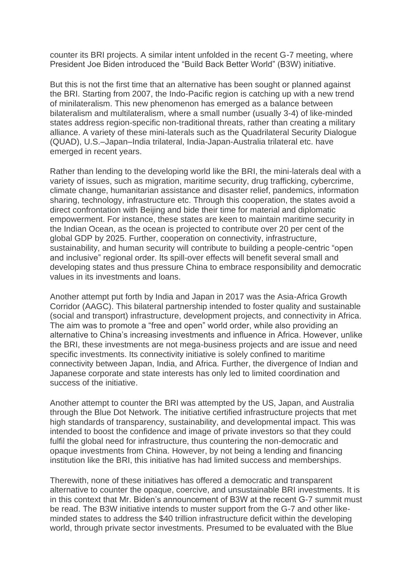counter its BRI projects. A similar intent unfolded in the recent G-7 meeting, where President Joe Biden introduced the "Build Back Better World" (B3W) initiative.

But this is not the first time that an alternative has been sought or planned against the BRI. Starting from 2007, the Indo-Pacific region is catching up with a new trend of minilateralism. This new phenomenon has emerged as a balance between bilateralism and multilateralism, where a small number (usually 3-4) of like-minded states address region-specific non-traditional threats, rather than creating a military alliance. A variety of these mini-laterals such as the Quadrilateral Security Dialogue (QUAD), U.S.–Japan–India trilateral, India-Japan-Australia trilateral etc. have emerged in recent years.

Rather than lending to the developing world like the BRI, the mini-laterals deal with a variety of issues, such as migration, maritime security, drug trafficking, cybercrime, climate change, humanitarian assistance and disaster relief, pandemics, information sharing, technology, infrastructure etc. Through this cooperation, the states avoid a direct confrontation with Beijing and bide their time for material and diplomatic empowerment. For instance, these states are keen to maintain maritime security in the Indian Ocean, as the ocean is projected to contribute over 20 per cent of the global GDP by 2025. Further, cooperation on connectivity, infrastructure, sustainability, and human security will contribute to building a people-centric "open and inclusive" regional order. Its spill-over effects will benefit several small and developing states and thus pressure China to embrace responsibility and democratic values in its investments and loans.

Another attempt put forth by India and Japan in 2017 was the Asia-Africa Growth Corridor (AAGC). This bilateral partnership intended to foster quality and sustainable (social and transport) infrastructure, development projects, and connectivity in Africa. The aim was to promote a "free and open" world order, while also providing an alternative to China's increasing investments and influence in Africa. However, unlike the BRI, these investments are not mega-business projects and are issue and need specific investments. Its connectivity initiative is solely confined to maritime connectivity between Japan, India, and Africa. Further, the divergence of Indian and Japanese corporate and state interests has only led to limited coordination and success of the initiative.

Another attempt to counter the BRI was attempted by the US, Japan, and Australia through the Blue Dot Network. The initiative certified infrastructure projects that met high standards of transparency, sustainability, and developmental impact. This was intended to boost the confidence and image of private investors so that they could fulfil the global need for infrastructure, thus countering the non-democratic and opaque investments from China. However, by not being a lending and financing institution like the BRI, this initiative has had limited success and memberships.

Therewith, none of these initiatives has offered a democratic and transparent alternative to counter the opaque, coercive, and unsustainable BRI investments. It is in this context that Mr. Biden's announcement of B3W at the recent G-7 summit must be read. The B3W initiative intends to muster support from the G-7 and other likeminded states to address the \$40 trillion infrastructure deficit within the developing world, through private sector investments. Presumed to be evaluated with the Blue